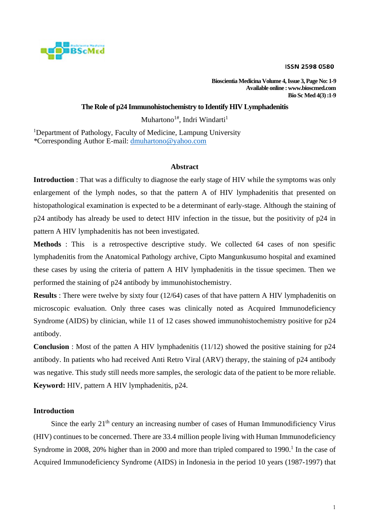

**Bioscientia Medicina Volume 4, Issue 3, Page No: 1-9 Available online : www.bioscmed.com Bio Sc Med 4(3) :1-9**

# **The Role of p24 Immunohistochemistry to Identify HIV Lymphadenitis**

Muhartono<sup>1#</sup>, Indri Windarti<sup>1</sup>

<sup>1</sup>Department of Pathology, Faculty of Medicine, Lampung University *\**Corresponding Author E-mail: [dmuhartono@yahoo.com](mailto:dmuhartono@yahoo.com)

### **Abstract**

**Introduction** : That was a difficulty to diagnose the early stage of HIV while the symptoms was only enlargement of the lymph nodes, so that the pattern A of HIV lymphadenitis that presented on histopathological examination is expected to be a determinant of early-stage. Although the staining of p24 antibody has already be used to detect HIV infection in the tissue, but the positivity of p24 in pattern A HIV lymphadenitis has not been investigated.

**Methods** : This is a retrospective descriptive study. We collected 64 cases of non spesific lymphadenitis from the Anatomical Pathology archive, Cipto Mangunkusumo hospital and examined these cases by using the criteria of pattern A HIV lymphadenitis in the tissue specimen. Then we performed the staining of p24 antibody by immunohistochemistry.

**Results**: There were twelve by sixty four (12/64) cases of that have pattern A HIV lymphadenitis on microscopic evaluation. Only three cases was clinically noted as Acquired Immunodeficiency Syndrome (AIDS) by clinician, while 11 of 12 cases showed immunohistochemistry positive for p24 antibody.

**Conclusion** : Most of the patten A HIV lymphadenitis (11/12) showed the positive staining for p24 antibody. In patients who had received Anti Retro Viral (ARV) therapy, the staining of p24 antibody was negative. This study still needs more samples, the serologic data of the patient to be more reliable. **Keyword:** HIV, pattern A HIV lymphadenitis, p24.

### **Introduction**

Since the early  $21<sup>th</sup>$  century an increasing number of cases of Human Immunodificiency Virus (HIV) continues to be concerned. There are 33.4 million people living with Human Immunodeficiency Syndrome in 2008, 20% higher than in 2000 and more than tripled compared to 1990.<sup>1</sup> In the case of Acquired Immunodeficiency Syndrome (AIDS) in Indonesia in the period 10 years (1987-1997) that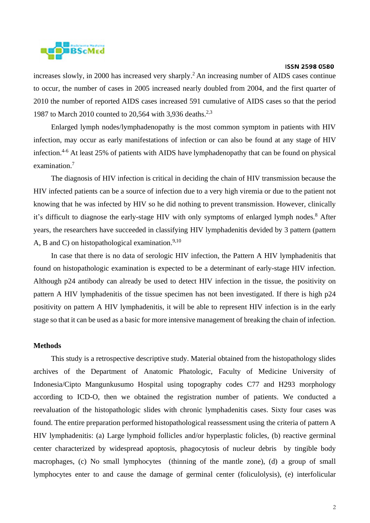

increases slowly, in 2000 has increased very sharply.<sup>2</sup> An increasing number of AIDS cases continue to occur, the number of cases in 2005 increased nearly doubled from 2004, and the first quarter of 2010 the number of reported AIDS cases increased 591 cumulative of AIDS cases so that the period 1987 to March 2010 counted to 20,564 with 3,936 deaths.<sup>2,3</sup>

Enlarged lymph nodes/lymphadenopathy is the most common symptom in patients with HIV infection, may occur as early manifestations of infection or can also be found at any stage of HIV infection.<sup>4-6</sup> At least 25% of patients with AIDS have lymphadenopathy that can be found on physical examination.<sup>7</sup>

The diagnosis of HIV infection is critical in deciding the chain of HIV transmission because the HIV infected patients can be a source of infection due to a very high viremia or due to the patient not knowing that he was infected by HIV so he did nothing to prevent transmission. However, clinically it's difficult to diagnose the early-stage HIV with only symptoms of enlarged lymph nodes.<sup>8</sup> After years, the researchers have succeeded in classifying HIV lymphadenitis devided by 3 pattern (pattern A, B and C) on histopathological examination. $9,10$ 

In case that there is no data of serologic HIV infection, the Pattern A HIV lymphadenitis that found on histopathologic examination is expected to be a determinant of early-stage HIV infection. Although p24 antibody can already be used to detect HIV infection in the tissue, the positivity on pattern A HIV lymphadenitis of the tissue specimen has not been investigated. If there is high p24 positivity on pattern A HIV lymphadenitis, it will be able to represent HIV infection is in the early stage so that it can be used as a basic for more intensive management of breaking the chain of infection.

### **Methods**

This study is a retrospective descriptive study. Material obtained from the histopathology slides archives of the Department of Anatomic Phatologic, Faculty of Medicine University of Indonesia/Cipto Mangunkusumo Hospital using topography codes C77 and H293 morphology according to ICD-O, then we obtained the registration number of patients. We conducted a reevaluation of the histopathologic slides with chronic lymphadenitis cases. Sixty four cases was found. The entire preparation performed histopathological reassessment using the criteria of pattern A HIV lymphadenitis: (a) Large lymphoid follicles and/or hyperplastic folicles, (b) reactive germinal center characterized by widespread apoptosis, phagocytosis of nucleur debris by tingible body macrophages, (c) No small lymphocytes (thinning of the mantle zone), (d) a group of small lymphocytes enter to and cause the damage of germinal center (foliculolysis), (e) interfolicular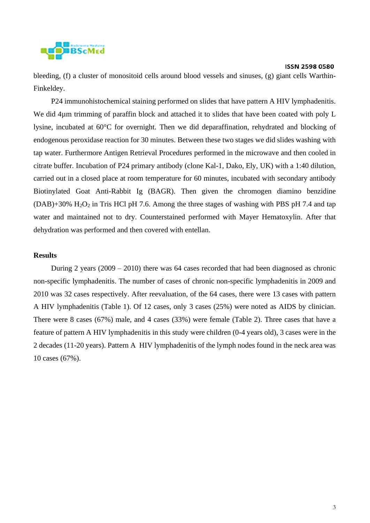

bleeding, (f) a cluster of monositoid cells around blood vessels and sinuses, (g) giant cells Warthin-Finkeldey.

P24 immunohistochemical staining performed on slides that have pattern A HIV lymphadenitis. We did 4µm trimming of paraffin block and attached it to slides that have been coated with poly L lysine, incubated at 60°C for overnight. Then we did deparaffination, rehydrated and blocking of endogenous peroxidase reaction for 30 minutes. Between these two stages we did slides washing with tap water. Furthermore Antigen Retrieval Procedures performed in the microwave and then cooled in citrate buffer. Incubation of P24 primary antibody (clone Kal-1, Dako, Ely, UK) with a 1:40 dilution, carried out in a closed place at room temperature for 60 minutes, incubated with secondary antibody Biotinylated Goat Anti-Rabbit Ig (BAGR). Then given the chromogen diamino benzidine  $(DAB)+30\%$  H<sub>2</sub>O<sub>2</sub> in Tris HCl pH 7.6. Among the three stages of washing with PBS pH 7.4 and tap water and maintained not to dry. Counterstained performed with Mayer Hematoxylin. After that dehydration was performed and then covered with entellan.

# **Results**

During 2 years (2009 – 2010) there was 64 cases recorded that had been diagnosed as chronic non-specific lymphadenitis. The number of cases of chronic non-specific lymphadenitis in 2009 and 2010 was 32 cases respectively. After reevaluation, of the 64 cases, there were 13 cases with pattern A HIV lymphadenitis (Table 1). Of 12 cases, only 3 cases (25%) were noted as AIDS by clinician. There were 8 cases (67%) male, and 4 cases (33%) were female (Table 2). Three cases that have a feature of pattern A HIV lymphadenitis in this study were children (0-4 years old), 3 cases were in the 2 decades (11-20 years). Pattern A HIV lymphadenitis of the lymph nodes found in the neck area was 10 cases (67%).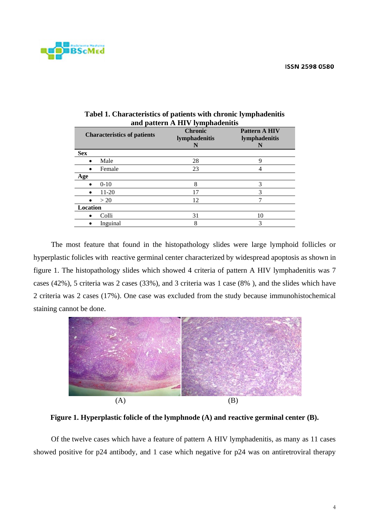

| anu pauvi n A III v Tymphauvinus   |                                      |                                            |  |  |  |  |  |  |
|------------------------------------|--------------------------------------|--------------------------------------------|--|--|--|--|--|--|
| <b>Characteristics of patients</b> | <b>Chronic</b><br>lymphadenitis<br>N | <b>Pattern A HIV</b><br>lymphadenitis<br>N |  |  |  |  |  |  |
| <b>Sex</b>                         |                                      |                                            |  |  |  |  |  |  |
| Male                               | 28                                   | Q                                          |  |  |  |  |  |  |
| Female                             | 23                                   | 4                                          |  |  |  |  |  |  |
| Age                                |                                      |                                            |  |  |  |  |  |  |
| $0-10$                             | 8                                    | 3                                          |  |  |  |  |  |  |
| 11-20                              | 17                                   | 3                                          |  |  |  |  |  |  |
| >20                                | 12                                   | 7                                          |  |  |  |  |  |  |
| Location                           |                                      |                                            |  |  |  |  |  |  |
| Colli<br>$\bullet$                 | 31                                   | 10                                         |  |  |  |  |  |  |
| Inguinal                           | 8                                    | 3                                          |  |  |  |  |  |  |
|                                    |                                      |                                            |  |  |  |  |  |  |

| Tabel 1. Characteristics of patients with chronic lymphadenitis |
|-----------------------------------------------------------------|
| and pattern A HIV lymphadenitis                                 |

The most feature that found in the histopathology slides were large lymphoid follicles or hyperplastic folicles with reactive germinal center characterized by widespread apoptosis as shown in figure 1. The histopathology slides which showed 4 criteria of pattern A HIV lymphadenitis was 7 cases (42%), 5 criteria was 2 cases (33%), and 3 criteria was 1 case (8% ), and the slides which have 2 criteria was 2 cases (17%). One case was excluded from the study because immunohistochemical staining cannot be done.



**Figure 1. Hyperplastic folicle of the lymphnode (A) and reactive germinal center (B).**

Of the twelve cases which have a feature of pattern A HIV lymphadenitis, as many as 11 cases showed positive for p24 antibody, and 1 case which negative for p24 was on antiretroviral therapy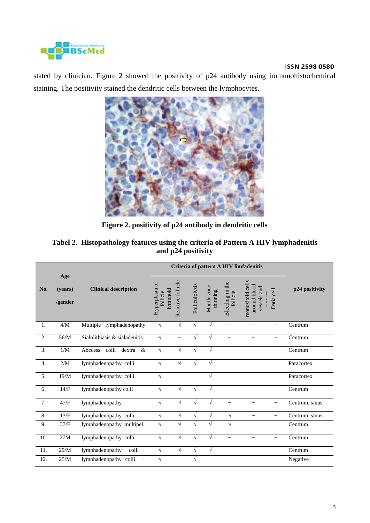

stated by clinician. Figure 2 showed the positivity of p24 antibody using immunohistochemical staining. The positivity stained the dendritic cells between the lymphocytes.



**Figure 2. positivity of p24 antibody in dendritic cells**

|                  |                           |                                    | Criteria of pattern A HIV limfadenitis |                               |                |                         |                             |                                                 |                          |                |
|------------------|---------------------------|------------------------------------|----------------------------------------|-------------------------------|----------------|-------------------------|-----------------------------|-------------------------------------------------|--------------------------|----------------|
| No.              | Age<br>(years)<br>/gender | <b>Clinical description</b>        | Hyperplasia of<br>follicle             | Reactive follicle<br>lymphoid | Folliculolysis | Mantle zone<br>thinning | Bleeding in the<br>follicle | monositoid cells<br>around blood<br>vessels and | Datia cell               | p24 positivity |
| 1.               | 4/M                       | Multiple lymphadenopathy           | $\sqrt{}$                              | $\sqrt{}$                     | V              | $\sqrt{}$               | $\overline{\phantom{0}}$    | $\overline{\phantom{0}}$                        | $\overline{\phantom{0}}$ | Centrum        |
| 2.               | 56/M                      | Sialolithiasis & sialadenitis      | $\sqrt{}$                              | $\overline{\phantom{0}}$      | V              | $\sqrt{ }$              | $\overline{\phantom{0}}$    | $\overline{\phantom{0}}$                        | $\overline{\phantom{0}}$ | Centrum        |
| 3.               | 1/M                       | colli<br>$\&$<br>dextra<br>Abccess | V                                      | V                             |                | V                       |                             |                                                 | —                        | Centrum        |
| $\overline{4}$ . | 2/M                       | lymphadenopathy colli              | V                                      | V                             |                |                         |                             |                                                 |                          | Paracortex     |
| 5.               | 19/M                      | lymphadenopathy colli              | $\sqrt{}$                              | —                             |                | $\sqrt{ }$              |                             |                                                 | $\overline{\phantom{0}}$ | Paracortex     |
| 6.               | 14/F                      | lymphadenopathy colli              | V                                      | V                             |                | V                       |                             |                                                 | —                        | Centrum        |
| 7.               | 47/F                      | lymphadenopathy                    | $\sqrt{}$                              | $\sqrt{}$                     | V              | $\sqrt{ }$              |                             |                                                 | —                        | Centrum, sinus |
| 8.               | 13/F                      | lymphadenopathy colli              | $\sqrt{}$                              | $\sqrt{}$                     | $\sqrt{}$      | $\sqrt{}$               | $\sqrt{}$                   | $\overline{\phantom{0}}$                        | $\overline{\phantom{0}}$ | Centrum, sinus |
| 9.               | 37/F                      | lymphadenopathy multipel           | $\sqrt{}$                              | V                             | V              | V                       | $\sqrt{}$                   |                                                 | $\overline{\phantom{0}}$ | Centrum        |
| 10.              | 27M                       | lymphadenopathy colli              | $\sqrt{}$                              | $\sqrt{}$                     | V              | $\sqrt{}$               | $\overline{\phantom{0}}$    | —                                               | $\overline{\phantom{0}}$ | Centrum        |
| 11.              | 29/M                      | lymphadenopathy<br>colli +         | √                                      | $\sqrt{}$                     | V              | $\sqrt{}$               | $\overline{\phantom{0}}$    | -                                               | —                        | Centrum        |
| 12.              | 25/M                      | lymphadenopathy colli<br>$^{+}$    |                                        |                               |                |                         | -                           | -                                               | —                        | Negative       |

# **Tabel 2. Histopathology features using the criteria of Pattern A HIV lymphadenitis and p24 positivity**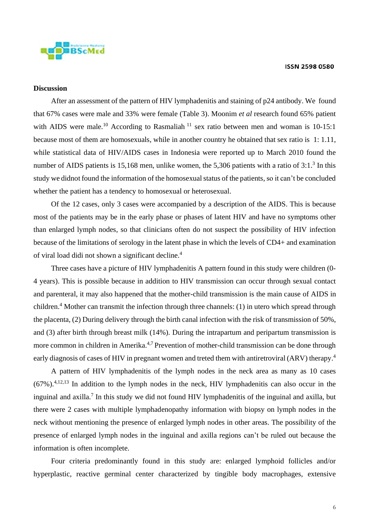

# **Discussion**

After an assessment of the pattern of HIV lymphadenitis and staining of p24 antibody. We found that 67% cases were male and 33% were female (Table 3). Moonim *et al* research found 65% patient with AIDS were male.<sup>10</sup> According to Rasmaliah<sup>11</sup> sex ratio between men and woman is 10-15:1 because most of them are homosexuals, while in another country he obtained that sex ratio is 1: 1.11, while statistical data of HIV/AIDS cases in Indonesia were reported up to March 2010 found the number of AIDS patients is 15,168 men, unlike women, the 5,306 patients with a ratio of  $3:1.^3$  In this study we didnot found the information of the homosexual status of the patients, so it can't be concluded whether the patient has a tendency to homosexual or heterosexual.

Of the 12 cases, only 3 cases were accompanied by a description of the AIDS. This is because most of the patients may be in the early phase or phases of latent HIV and have no symptoms other than enlarged lymph nodes, so that clinicians often do not suspect the possibility of HIV infection because of the limitations of serology in the latent phase in which the levels of CD4+ and examination of viral load didi not shown a significant decline. 4

Three cases have a picture of HIV lymphadenitis A pattern found in this study were children (0- 4 years). This is possible because in addition to HIV transmission can occur through sexual contact and parenteral, it may also happened that the mother-child transmission is the main cause of AIDS in children.<sup>4</sup> Mother can transmit the infection through three channels: (1) in utero which spread through the placenta, (2) During delivery through the birth canal infection with the risk of transmission of 50%, and (3) after birth through breast milk (14%). During the intrapartum and peripartum transmission is more common in children in Amerika.<sup>4,7</sup> Prevention of mother-child transmission can be done through early diagnosis of cases of HIV in pregnant women and treted them with antiretroviral (ARV) therapy.<sup>4</sup>

A pattern of HIV lymphadenitis of the lymph nodes in the neck area as many as 10 cases  $(67\%)$ <sup>4,12,13</sup> In addition to the lymph nodes in the neck, HIV lymphadenitis can also occur in the inguinal and axilla.<sup>7</sup> In this study we did not found HIV lymphadenitis of the inguinal and axilla, but there were 2 cases with multiple lymphadenopathy information with biopsy on lymph nodes in the neck without mentioning the presence of enlarged lymph nodes in other areas. The possibility of the presence of enlarged lymph nodes in the inguinal and axilla regions can't be ruled out because the information is often incomplete.

Four criteria predominantly found in this study are: enlarged lymphoid follicles and/or hyperplastic, reactive germinal center characterized by tingible body macrophages, extensive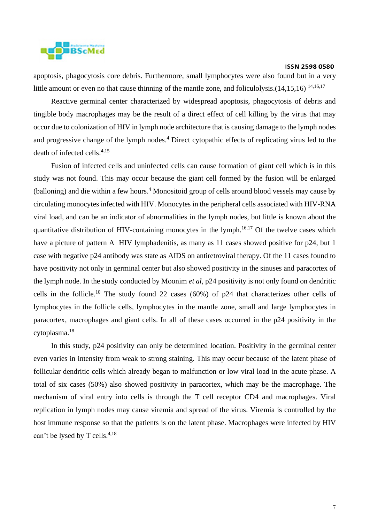

apoptosis, phagocytosis core debris. Furthermore, small lymphocytes were also found but in a very little amount or even no that cause thinning of the mantle zone, and foliculolysis.(14,15,16) <sup>14,16,17</sup>

Reactive germinal center characterized by widespread apoptosis, phagocytosis of debris and tingible body macrophages may be the result of a direct effect of cell killing by the virus that may occur due to colonization of HIV in lymph node architecture that is causing damage to the lymph nodes and progressive change of the lymph nodes.<sup>4</sup> Direct cytopathic effects of replicating virus led to the death of infected cells. 4,15

Fusion of infected cells and uninfected cells can cause formation of giant cell which is in this study was not found. This may occur because the giant cell formed by the fusion will be enlarged (balloning) and die within a few hours.<sup>4</sup> Monositoid group of cells around blood vessels may cause by circulating monocytes infected with HIV. Monocytes in the peripheral cells associated with HIV-RNA viral load, and can be an indicator of abnormalities in the lymph nodes, but little is known about the quantitative distribution of HIV-containing monocytes in the lymph.<sup>16,17</sup> Of the twelve cases which have a picture of pattern A HIV lymphadenitis, as many as 11 cases showed positive for p24, but 1 case with negative p24 antibody was state as AIDS on antiretroviral therapy. Of the 11 cases found to have positivity not only in germinal center but also showed positivity in the sinuses and paracortex of the lymph node. In the study conducted by Moonim *et al*, p24 positivity is not only found on dendritic cells in the follicle. <sup>10</sup> The study found 22 cases (60%) of p24 that characterizes other cells of lymphocytes in the follicle cells, lymphocytes in the mantle zone, small and large lymphocytes in paracortex, macrophages and giant cells. In all of these cases occurred in the p24 positivity in the cytoplasma.<sup>18</sup>

In this study, p24 positivity can only be determined location. Positivity in the germinal center even varies in intensity from weak to strong staining. This may occur because of the latent phase of follicular dendritic cells which already began to malfunction or low viral load in the acute phase. A total of six cases (50%) also showed positivity in paracortex, which may be the macrophage. The mechanism of viral entry into cells is through the T cell receptor CD4 and macrophages. Viral replication in lymph nodes may cause viremia and spread of the virus. Viremia is controlled by the host immune response so that the patients is on the latent phase. Macrophages were infected by HIV can't be lysed by T cells.<sup>4,18</sup>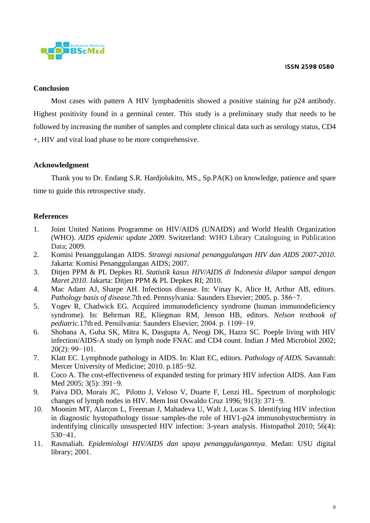

# **Conclusion**

Most cases with pattern A HIV lymphadenitis showed a positive staining for p24 antibody. Highest positivity found in a germinal center. This study is a preliminary study that needs to be followed by increasing the number of samples and complete clinical data such as serology status, CD4 +, HIV and viral load phase to be more comprehensive.

## **Acknowledgment**

Thank you to Dr. Endang S.R. Hardjolukito, MS., Sp.PA(K) on knowledge, patience and spare time to guide this retrospective study.

## **References**

- 1. Joint United Nations Programme on HIV/AIDS (UNAIDS) and World Health Organization (WHO). *AIDS epidemic update 2009*. Switzerland: WHO Library Cataloguing in Publication Data; 2009.
- 2. Komisi Penanggulangan AIDS. *Strategi nasional penanggulangan HIV dan AIDS 2007-2010*. Jakarta: Komisi Penanggulangan AIDS; 2007.
- 3. Ditjen PPM & PL Depkes RI. *Statistik kasus HIV/AIDS di Indonesia dilapor sampai dengan Maret 2010*. Jakarta: Ditjen PPM & PL Depkes RI; 2010.
- 4. Mac Adam AJ, Sharpe AH. Infectious disease. In: Vinay K, Alice H, Arthur AB, editors. *Pathology basis of disease*.7th ed. Pennsylvania: Saunders Elsevier; 2005. p. 386−7.
- 5. Yogev R, Chadwick EG. Acquired immunodeficiency syndrome (human immunodeficiency syndrome). In: Behrman RE, Kliegman RM, Jenson HB, editors. *Nelson textbook of pediatric*.17th ed. Pensilvania: Saunders Elsevier; 2004. p. 1109−19.
- 6. Shobana A, Guha SK, Mitra K, Dasgupta A, Neogi DK, Hazra SC. Poeple living with HIV infection/AIDS-A study on lymph node FNAC and CD4 count. Indian J Med Microbiol 2002; 20(2): 99−101.
- 7. Klatt EC. Lymphnode pathology in AIDS. In: Klatt EC, editors. *Pathology of AIDS.* Savannah: Mercer University of Medicine; 2010. p.185−92.
- 8. Coco A. The cost-effectiveness of expanded testing for primary HIV infection AIDS. Ann Fam Med 2005; 3(5): 391−9.
- 9. Paiva DD, Morais JC, Pilotto J, Veloso V, Duarte F, Lenzi HL. Spectrum of morphologic changes of lymph nodes in HIV. Mem Inst Oswaldo Cruz 1996; 91(3): 371−9.
- 10. Moonim MT, Alarcon L, Freeman J, Mahadeva U, Walt J, Lucas S. Identifying HIV infection in diagnostic hystopathology tissue samples-the role of HIV1-p24 immunohystochemistry in indentifying clinically unsuspected HIV infection: 3-years analysis. Histopathol 2010; 56(4): 530−41.
- 11. Rasmaliah. *Epidemiologi HIV/AIDS dan upaya penanggulangannya.* Medan: USU digital library; 2001.